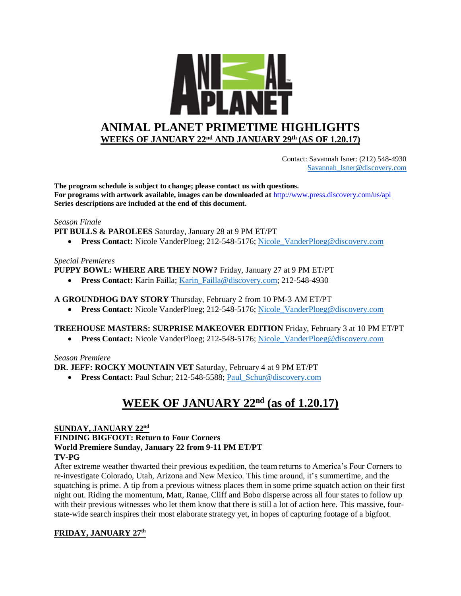

 Contact: Savannah Isner: (212) 548-4930 [Savannah\\_Isner@discovery.com](mailto:Savannah_Isner@discovery.com)

**The program schedule is subject to change; please contact us with questions. For programs with artwork available, images can be downloaded at** http://www.press.discovery.com/us/apl **Series descriptions are included at the end of this document.** 

### *Season Finale*

**PIT BULLS & PAROLEES** Saturday, January 28 at 9 PM ET/PT

• **Press Contact:** Nicole VanderPloeg; 212-548-5176; Nicole VanderPloeg@discovery.com

## *Special Premieres*

**PUPPY BOWL: WHERE ARE THEY NOW?** Friday, January 27 at 9 PM ET/PT

• **Press Contact:** Karin Failla; Karin Failla@discovery.com; 212-548-4930

### **A GROUNDHOG DAY STORY** Thursday, February 2 from 10 PM-3 AM ET/PT

• **Press Contact:** Nicole VanderPloeg; 212-548-5176; Nicole VanderPloeg@discovery.com

# **TREEHOUSE MASTERS: SURPRISE MAKEOVER EDITION** Friday, February 3 at 10 PM ET/PT

• **Press Contact:** Nicole VanderPloeg; 212-548-5176; [Nicole\\_VanderPloeg@discovery.com](mailto:Nicole_VanderPloeg@discovery.com)

### *Season Premiere*

**DR. JEFF: ROCKY MOUNTAIN VET** Saturday, February 4 at 9 PM ET/PT

• **Press Contact:** Paul Schur; 212-548-5588; [Paul\\_Schur@discovery.com](mailto:Paul_Schur@discovery.com)

# **WEEK OF JANUARY 22nd (as of 1.20.17)**

### **SUNDAY, JANUARY 22nd**

### **FINDING BIGFOOT: Return to Four Corners World Premiere Sunday, January 22 from 9-11 PM ET/PT TV-PG**

After extreme weather thwarted their previous expedition, the team returns to America's Four Corners to re-investigate Colorado, Utah, Arizona and New Mexico. This time around, it's summertime, and the squatching is prime. A tip from a previous witness places them in some prime squatch action on their first night out. Riding the momentum, Matt, Ranae, Cliff and Bobo disperse across all four states to follow up with their previous witnesses who let them know that there is still a lot of action here. This massive, fourstate-wide search inspires their most elaborate strategy yet, in hopes of capturing footage of a bigfoot.

# **FRIDAY, JANUARY 27th**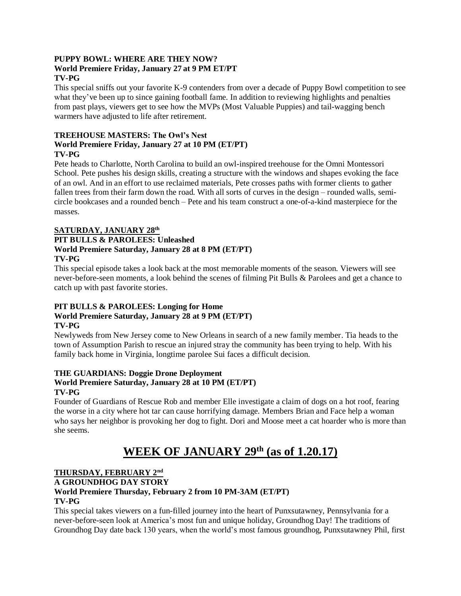### **PUPPY BOWL: WHERE ARE THEY NOW? World Premiere Friday, January 27 at 9 PM ET/PT TV-PG**

This special sniffs out your favorite K-9 contenders from over a decade of Puppy Bowl competition to see what they've been up to since gaining football fame. In addition to reviewing highlights and penalties from past plays, viewers get to see how the MVPs (Most Valuable Puppies) and tail-wagging bench warmers have adjusted to life after retirement.

### **TREEHOUSE MASTERS: The Owl's Nest World Premiere Friday, January 27 at 10 PM (ET/PT) TV-PG**

Pete heads to Charlotte, North Carolina to build an owl-inspired treehouse for the Omni Montessori School. Pete pushes his design skills, creating a structure with the windows and shapes evoking the face of an owl. And in an effort to use reclaimed materials, Pete crosses paths with former clients to gather fallen trees from their farm down the road. With all sorts of curves in the design – rounded walls, semicircle bookcases and a rounded bench – Pete and his team construct a one-of-a-kind masterpiece for the masses.

# **SATURDAY, JANUARY 28th**

### **PIT BULLS & PAROLEES: Unleashed World Premiere Saturday, January 28 at 8 PM (ET/PT) TV-PG**

This special episode takes a look back at the most memorable moments of the season. Viewers will see never-before-seen moments, a look behind the scenes of filming Pit Bulls & Parolees and get a chance to catch up with past favorite stories.

# **PIT BULLS & PAROLEES: Longing for Home World Premiere Saturday, January 28 at 9 PM (ET/PT)**

# **TV-PG**

Newlyweds from New Jersey come to New Orleans in search of a new family member. Tia heads to the town of Assumption Parish to rescue an injured stray the community has been trying to help. With his family back home in Virginia, longtime parolee Sui faces a difficult decision.

## **THE GUARDIANS: Doggie Drone Deployment World Premiere Saturday, January 28 at 10 PM (ET/PT) TV-PG**

Founder of Guardians of Rescue Rob and member Elle investigate a claim of dogs on a hot roof, fearing the worse in a city where hot tar can cause horrifying damage. Members Brian and Face help a woman who says her neighbor is provoking her dog to fight. Dori and Moose meet a cat hoarder who is more than she seems.

# **WEEK OF JANUARY 29th (as of 1.20.17)**

# **THURSDAY, FEBRUARY 2nd**

# **A GROUNDHOG DAY STORY World Premiere Thursday, February 2 from 10 PM-3AM (ET/PT) TV-PG**

This special takes viewers on a fun-filled journey into the heart of Punxsutawney, Pennsylvania for a never-before-seen look at America's most fun and unique holiday, Groundhog Day! The traditions of Groundhog Day date back 130 years, when the world's most famous groundhog, Punxsutawney Phil, first